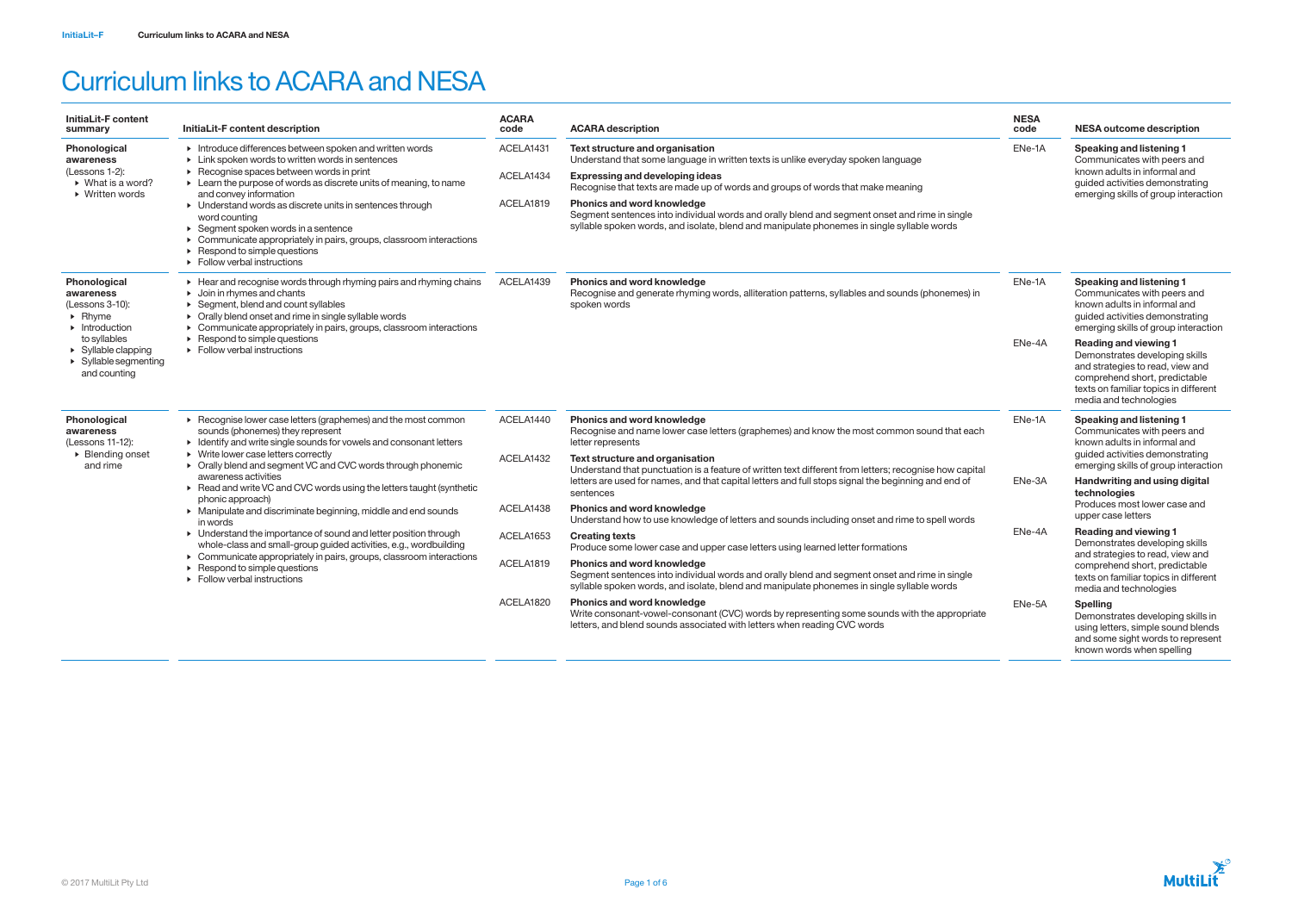| <b>InitiaLit-F content</b><br>summary                                                                                                                                                                                      | InitiaLit-F content description                                                                                                                                                                                                                                                                                                                                                                                                                                                                                                                                                     | <b>ACARA</b><br>code | <b>ACARA description</b>                                                                                                                                                                                                         | <b>NESA</b><br>code | <b>NESA outcome description</b>                                                                                                                                                                                                                                                                                                                                                                                                                                                     |
|----------------------------------------------------------------------------------------------------------------------------------------------------------------------------------------------------------------------------|-------------------------------------------------------------------------------------------------------------------------------------------------------------------------------------------------------------------------------------------------------------------------------------------------------------------------------------------------------------------------------------------------------------------------------------------------------------------------------------------------------------------------------------------------------------------------------------|----------------------|----------------------------------------------------------------------------------------------------------------------------------------------------------------------------------------------------------------------------------|---------------------|-------------------------------------------------------------------------------------------------------------------------------------------------------------------------------------------------------------------------------------------------------------------------------------------------------------------------------------------------------------------------------------------------------------------------------------------------------------------------------------|
| <b>Phonological</b><br>awareness                                                                                                                                                                                           | Introduce differences between spoken and written words<br>• Link spoken words to written words in sentences<br>▶ Recognise spaces between words in print<br>$\triangleright$ Learn the purpose of words as discrete units of meaning, to name<br>and convey information<br>• Understand words as discrete units in sentences through<br>word counting<br>$\triangleright$ Segment spoken words in a sentence<br>• Communicate appropriately in pairs, groups, classroom interactions<br>$\triangleright$ Respond to simple questions<br>$\triangleright$ Follow verbal instructions | ACELA1431            | Text structure and organisation<br>Understand that some language in written texts is unlike everyday spoken language                                                                                                             | ENe-1A              | Speaking and listening 1<br>Communicates with peers and<br>known adults in informal and<br>guided activities demonstrating<br>emerging skills of group interaction                                                                                                                                                                                                                                                                                                                  |
| (Lessons 1-2):<br>$\triangleright$ What is a word?<br>$\triangleright$ Written words                                                                                                                                       |                                                                                                                                                                                                                                                                                                                                                                                                                                                                                                                                                                                     | ACELA1434            | <b>Expressing and developing ideas</b><br>Recognise that texts are made up of words and groups of words that make meaning                                                                                                        |                     |                                                                                                                                                                                                                                                                                                                                                                                                                                                                                     |
|                                                                                                                                                                                                                            |                                                                                                                                                                                                                                                                                                                                                                                                                                                                                                                                                                                     | ACELA1819            | <b>Phonics and word knowledge</b><br>Segment sentences into individual words and orally blend and segment onset and rime in single<br>syllable spoken words, and isolate, blend and manipulate phonemes in single syllable words |                     |                                                                                                                                                                                                                                                                                                                                                                                                                                                                                     |
| Phonological<br>awareness<br>(Lessons 3-10):<br>$\triangleright$ Rhyme<br>$\blacktriangleright$ Introduction<br>to syllables<br>$\triangleright$ Syllable clapping<br>$\triangleright$ Syllable segmenting<br>and counting | Example 2 Hear and recognise words through rhyming pairs and rhyming chains<br>$\triangleright$ Join in rhymes and chants<br>$\triangleright$ Segment, blend and count syllables<br>• Orally blend onset and rime in single syllable words<br>• Communicate appropriately in pairs, groups, classroom interactions<br>$\triangleright$ Respond to simple questions<br>$\triangleright$ Follow verbal instructions                                                                                                                                                                   | ACELA1439            | Phonics and word knowledge<br>Recognise and generate rhyming words, alliteration patterns, syllables and sounds (phonemes) in<br>spoken words                                                                                    | ENe-1A              | <b>Speaking and listening 1</b><br>Communicates with peers and<br>known adults in informal and<br>quided activities demonstrating<br>emerging skills of group interaction                                                                                                                                                                                                                                                                                                           |
|                                                                                                                                                                                                                            |                                                                                                                                                                                                                                                                                                                                                                                                                                                                                                                                                                                     |                      |                                                                                                                                                                                                                                  | ENe-4A              | <b>Reading and viewing 1</b><br>Demonstrates developing skills<br>and strategies to read, view and<br>comprehend short, predictable<br>texts on familiar topics in different<br>media and technologies                                                                                                                                                                                                                                                                              |
| Phonological<br>awareness<br>(Lessons 11-12):<br>$\triangleright$ Blending onset<br>and rime                                                                                                                               | $\triangleright$ Recognise lower case letters (graphemes) and the most common<br>sounds (phonemes) they represent<br>• Identify and write single sounds for vowels and consonant letters<br>• Write lower case letters correctly<br>• Orally blend and segment VC and CVC words through phonemic                                                                                                                                                                                                                                                                                    | ACELA1440            | Phonics and word knowledge<br>Recognise and name lower case letters (graphemes) and know the most common sound that each<br>letter represents                                                                                    | ENe-1A              | <b>Speaking and listening 1</b><br>Communicates with peers and<br>known adults in informal and<br>quided activities demonstrating<br>emerging skills of group interaction<br>Handwriting and using digital<br>technologies<br>Produces most lower case and<br>upper case letters<br>Reading and viewing 1<br>Demonstrates developing skills<br>and strategies to read, view and<br>comprehend short, predictable<br>texts on familiar topics in different<br>media and technologies |
|                                                                                                                                                                                                                            |                                                                                                                                                                                                                                                                                                                                                                                                                                                                                                                                                                                     | ACELA1432            | Text structure and organisation<br>Understand that punctuation is a feature of written text different from letters; recognise how capital                                                                                        |                     |                                                                                                                                                                                                                                                                                                                                                                                                                                                                                     |
|                                                                                                                                                                                                                            | awareness activities<br>▶ Read and write VC and CVC words using the letters taught (synthetic<br>phonic approach)                                                                                                                                                                                                                                                                                                                                                                                                                                                                   |                      | letters are used for names, and that capital letters and full stops signal the beginning and end of<br>sentences                                                                                                                 | ENe-3A<br>ENe-4A    |                                                                                                                                                                                                                                                                                                                                                                                                                                                                                     |
|                                                                                                                                                                                                                            | • Manipulate and discriminate beginning, middle and end sounds<br>in words<br>• Understand the importance of sound and letter position through<br>whole-class and small-group guided activities, e.g., wordbuilding<br>• Communicate appropriately in pairs, groups, classroom interactions<br>$\triangleright$ Respond to simple questions<br>$\triangleright$ Follow verbal instructions                                                                                                                                                                                          | ACELA1438            | <b>Phonics and word knowledge</b><br>Understand how to use knowledge of letters and sounds including onset and rime to spell words                                                                                               |                     |                                                                                                                                                                                                                                                                                                                                                                                                                                                                                     |
|                                                                                                                                                                                                                            |                                                                                                                                                                                                                                                                                                                                                                                                                                                                                                                                                                                     | ACELA1653            | <b>Creating texts</b><br>Produce some lower case and upper case letters using learned letter formations                                                                                                                          |                     |                                                                                                                                                                                                                                                                                                                                                                                                                                                                                     |
|                                                                                                                                                                                                                            |                                                                                                                                                                                                                                                                                                                                                                                                                                                                                                                                                                                     | ACELA1819            | Phonics and word knowledge<br>Segment sentences into individual words and orally blend and segment onset and rime in single<br>syllable spoken words, and isolate, blend and manipulate phonemes in single syllable words        |                     |                                                                                                                                                                                                                                                                                                                                                                                                                                                                                     |
|                                                                                                                                                                                                                            |                                                                                                                                                                                                                                                                                                                                                                                                                                                                                                                                                                                     | ACELA1820            | <b>Phonics and word knowledge</b><br>Write consonant-vowel-consonant (CVC) words by representing some sounds with the appropriate<br>letters, and blend sounds associated with letters when reading CVC words                    | ENe-5A              | <b>Spelling</b><br>Demonstrates developing skills in<br>using letters, simple sound blends<br>and some sight words to represent<br>known words when spelling                                                                                                                                                                                                                                                                                                                        |



## Curriculum links to ACARA and NESA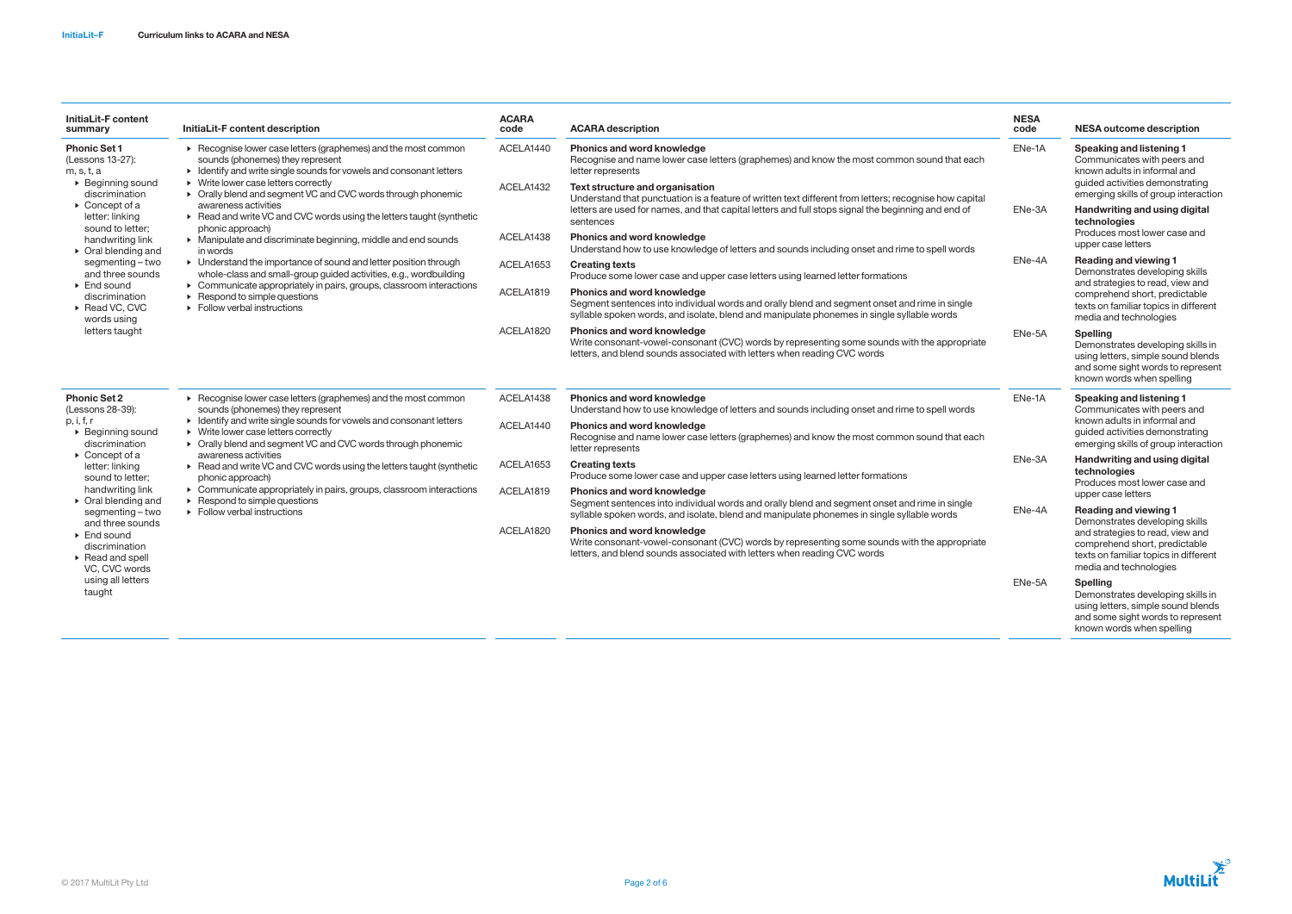| InitiaLit-F content<br>summary                                                                                                                                                                                                                                                                                                                                              | InitiaLit-F content description                                                                                                                                                                                                                                                                                                                                                                                                                                                                                                                                                                                                                                                                                                                                                                      | <b>ACARA</b><br>code   | <b>ACARA</b> description                                                                                                                                                                                                                         | <b>NESA</b><br>code        | <b>NESA outcome description</b>                                                                                                                                                                            |
|-----------------------------------------------------------------------------------------------------------------------------------------------------------------------------------------------------------------------------------------------------------------------------------------------------------------------------------------------------------------------------|------------------------------------------------------------------------------------------------------------------------------------------------------------------------------------------------------------------------------------------------------------------------------------------------------------------------------------------------------------------------------------------------------------------------------------------------------------------------------------------------------------------------------------------------------------------------------------------------------------------------------------------------------------------------------------------------------------------------------------------------------------------------------------------------------|------------------------|--------------------------------------------------------------------------------------------------------------------------------------------------------------------------------------------------------------------------------------------------|----------------------------|------------------------------------------------------------------------------------------------------------------------------------------------------------------------------------------------------------|
| <b>Phonic Set 1</b><br>(Lessons 13-27):<br>m, s, t, a<br>$\triangleright$ Beginning sound<br>discrimination<br>$\triangleright$ Concept of a                                                                                                                                                                                                                                | ▶ Recognise lower case letters (graphemes) and the most common<br>sounds (phonemes) they represent<br>• Identify and write single sounds for vowels and consonant letters<br>• Write lower case letters correctly<br>• Orally blend and segment VC and CVC words through phonemic<br>awareness activities<br>▶ Read and write VC and CVC words using the letters taught (synthetic<br>phonic approach)<br>• Manipulate and discriminate beginning, middle and end sounds<br>in words<br>• Understand the importance of sound and letter position through<br>whole-class and small-group guided activities, e.g., wordbuilding<br>• Communicate appropriately in pairs, groups, classroom interactions<br>$\triangleright$ Respond to simple questions<br>$\triangleright$ Follow verbal instructions | ACELA1440              | Phonics and word knowledge<br>Recognise and name lower case letters (graphemes) and know the most common sound that each<br>letter represents                                                                                                    | ENe-1A<br>ENe-3A<br>ENe-4A | Speaking and listening 1<br>Communicates with peers and<br>known adults in informal and<br>quided activities demonstrating<br>emerging skills of group interaction<br><b>Handwriting and using digital</b> |
|                                                                                                                                                                                                                                                                                                                                                                             |                                                                                                                                                                                                                                                                                                                                                                                                                                                                                                                                                                                                                                                                                                                                                                                                      | ACELA1432              | Text structure and organisation<br>Understand that punctuation is a feature of written text different from letters; recognise how capital<br>letters are used for names, and that capital letters and full stops signal the beginning and end of |                            |                                                                                                                                                                                                            |
| letter: linking<br>sound to letter;                                                                                                                                                                                                                                                                                                                                         |                                                                                                                                                                                                                                                                                                                                                                                                                                                                                                                                                                                                                                                                                                                                                                                                      | ACELA1438              | sentences<br>Phonics and word knowledge                                                                                                                                                                                                          |                            | technologies<br>Produces most lower case and                                                                                                                                                               |
| handwriting link<br>$\triangleright$ Oral blending and                                                                                                                                                                                                                                                                                                                      |                                                                                                                                                                                                                                                                                                                                                                                                                                                                                                                                                                                                                                                                                                                                                                                                      |                        | Understand how to use knowledge of letters and sounds including onset and rime to spell words                                                                                                                                                    |                            | upper case letters                                                                                                                                                                                         |
| segmenting – two<br>and three sounds                                                                                                                                                                                                                                                                                                                                        |                                                                                                                                                                                                                                                                                                                                                                                                                                                                                                                                                                                                                                                                                                                                                                                                      | ACELA1653              | <b>Creating texts</b><br>Produce some lower case and upper case letters using learned letter formations                                                                                                                                          |                            | <b>Reading and viewing 1</b><br>Demonstrates developing skills<br>and strategies to read, view and<br>comprehend short, predictable<br>texts on familiar topics in different<br>media and technologies     |
| $\triangleright$ End sound<br>discrimination<br>▶ Read VC, CVC<br>words using<br>letters taught                                                                                                                                                                                                                                                                             |                                                                                                                                                                                                                                                                                                                                                                                                                                                                                                                                                                                                                                                                                                                                                                                                      | ACELA1819              | <b>Phonics and word knowledge</b><br>Segment sentences into individual words and orally blend and segment onset and rime in single<br>syllable spoken words, and isolate, blend and manipulate phonemes in single syllable words                 |                            |                                                                                                                                                                                                            |
|                                                                                                                                                                                                                                                                                                                                                                             |                                                                                                                                                                                                                                                                                                                                                                                                                                                                                                                                                                                                                                                                                                                                                                                                      | ACELA1820              | <b>Phonics and word knowledge</b><br>Write consonant-vowel-consonant (CVC) words by representing some sounds with the appropriate<br>letters, and blend sounds associated with letters when reading CVC words                                    | ENe-5A                     | <b>Spelling</b><br>Demonstrates developing skills in<br>using letters, simple sound blends<br>and some sight words to represent<br>known words when spelling                                               |
| <b>Phonic Set 2</b><br>(Lessons 28-39):                                                                                                                                                                                                                                                                                                                                     | $\triangleright$ Recognise lower case letters (graphemes) and the most common<br>sounds (phonemes) they represent<br>• Identify and write single sounds for vowels and consonant letters<br>• Write lower case letters correctly<br>• Orally blend and segment VC and CVC words through phonemic<br>awareness activities<br>▶ Read and write VC and CVC words using the letters taught (synthetic<br>phonic approach)<br>• Communicate appropriately in pairs, groups, classroom interactions<br>$\triangleright$ Respond to simple questions<br>$\triangleright$ Follow verbal instructions                                                                                                                                                                                                         | ACELA1438              | Phonics and word knowledge<br>Understand how to use knowledge of letters and sounds including onset and rime to spell words                                                                                                                      | ENe-1A<br>ENe-3A           | Speaking and listening 1<br>Communicates with peers and<br>known adults in informal and<br>guided activities demonstrating<br>emerging skills of group interaction                                         |
| p, i, f, r<br>$\triangleright$ Beginning sound<br>discrimination<br>$\triangleright$ Concept of a<br>letter: linking<br>sound to letter:<br>handwriting link<br>$\triangleright$ Oral blending and<br>segmenting-two<br>and three sounds<br>$\triangleright$ End sound<br>discrimination<br>$\triangleright$ Read and spell<br>VC, CVC words<br>using all letters<br>taught |                                                                                                                                                                                                                                                                                                                                                                                                                                                                                                                                                                                                                                                                                                                                                                                                      | ACELA1440              | Phonics and word knowledge<br>Recognise and name lower case letters (graphemes) and know the most common sound that each<br>letter represents                                                                                                    |                            |                                                                                                                                                                                                            |
|                                                                                                                                                                                                                                                                                                                                                                             |                                                                                                                                                                                                                                                                                                                                                                                                                                                                                                                                                                                                                                                                                                                                                                                                      | ACELA1653              | <b>Creating texts</b><br>Produce some lower case and upper case letters using learned letter formations                                                                                                                                          |                            | Handwriting and using digital<br>technologies<br>Produces most lower case and                                                                                                                              |
|                                                                                                                                                                                                                                                                                                                                                                             |                                                                                                                                                                                                                                                                                                                                                                                                                                                                                                                                                                                                                                                                                                                                                                                                      | ACELA1819<br>ACELA1820 | <b>Phonics and word knowledge</b><br>Segment sentences into individual words and orally blend and segment onset and rime in single                                                                                                               |                            | upper case letters                                                                                                                                                                                         |
|                                                                                                                                                                                                                                                                                                                                                                             |                                                                                                                                                                                                                                                                                                                                                                                                                                                                                                                                                                                                                                                                                                                                                                                                      |                        | syllable spoken words, and isolate, blend and manipulate phonemes in single syllable words                                                                                                                                                       | ENe-4A                     | <b>Reading and viewing 1</b><br>Demonstrates developing skills                                                                                                                                             |
|                                                                                                                                                                                                                                                                                                                                                                             |                                                                                                                                                                                                                                                                                                                                                                                                                                                                                                                                                                                                                                                                                                                                                                                                      |                        | <b>Phonics and word knowledge</b><br>Write consonant-vowel-consonant (CVC) words by representing some sounds with the appropriate<br>letters, and blend sounds associated with letters when reading CVC words                                    |                            | and strategies to read, view and<br>comprehend short, predictable<br>texts on familiar topics in different<br>media and technologies                                                                       |
|                                                                                                                                                                                                                                                                                                                                                                             |                                                                                                                                                                                                                                                                                                                                                                                                                                                                                                                                                                                                                                                                                                                                                                                                      |                        |                                                                                                                                                                                                                                                  | ENe-5A                     | <b>Spelling</b><br>Demonstrates developing skills in<br>using letters, simple sound blends<br>and some sight words to represent<br>known words when spelling                                               |

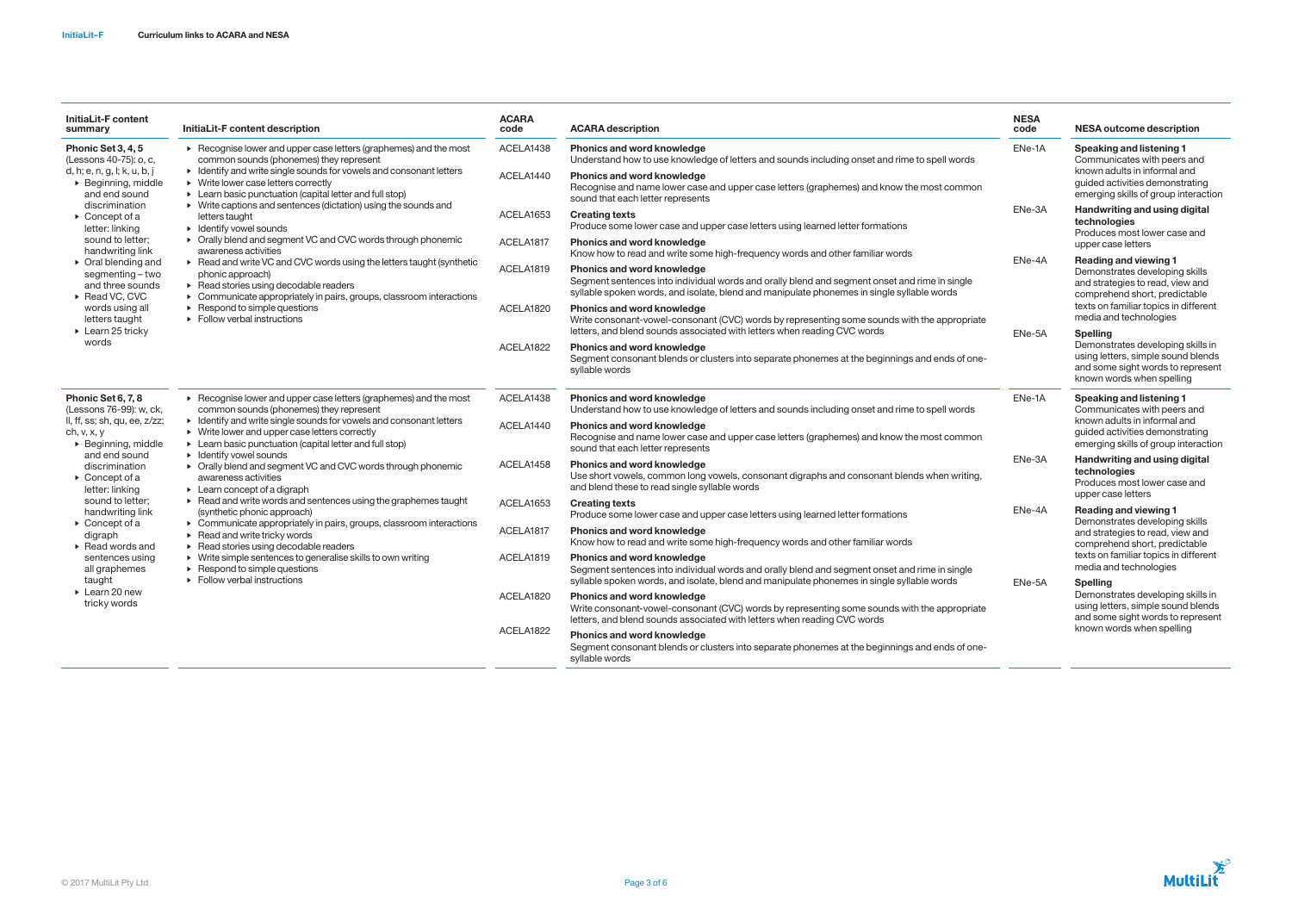| InitiaLit-F content<br>summary                                                                                                                                                                                                                                                                                                                                                                  | InitiaLit-F content description                                                                                                                                                                                                                                                                                                                                                                                                                                                                                                                                                                                                                                                                                                                                                                                                                                                                                                                                    | <b>ACARA</b><br>code | <b>ACARA description</b>                                                                                                                                                                                                         | <b>NESA</b><br>code        | <b>NESA outcome description</b>                                                                                                                                                                                                                                                                                                                                        |
|-------------------------------------------------------------------------------------------------------------------------------------------------------------------------------------------------------------------------------------------------------------------------------------------------------------------------------------------------------------------------------------------------|--------------------------------------------------------------------------------------------------------------------------------------------------------------------------------------------------------------------------------------------------------------------------------------------------------------------------------------------------------------------------------------------------------------------------------------------------------------------------------------------------------------------------------------------------------------------------------------------------------------------------------------------------------------------------------------------------------------------------------------------------------------------------------------------------------------------------------------------------------------------------------------------------------------------------------------------------------------------|----------------------|----------------------------------------------------------------------------------------------------------------------------------------------------------------------------------------------------------------------------------|----------------------------|------------------------------------------------------------------------------------------------------------------------------------------------------------------------------------------------------------------------------------------------------------------------------------------------------------------------------------------------------------------------|
| Phonic Set 3, 4, 5<br>(Lessons 40-75): o, c,<br>d, h; e, n, g, l; k, u, b, j<br>$\triangleright$ Beginning, middle<br>and end sound<br>discrimination<br>$\triangleright$ Concept of a<br>letter: linking                                                                                                                                                                                       | ▶ Recognise lower and upper case letters (graphemes) and the most<br>common sounds (phonemes) they represent<br>• Identify and write single sounds for vowels and consonant letters<br>• Write lower case letters correctly<br>• Learn basic punctuation (capital letter and full stop)<br>$\triangleright$ Write captions and sentences (dictation) using the sounds and<br>letters taught<br>$\triangleright$ Identify vowel sounds<br>• Orally blend and segment VC and CVC words through phonemic<br>awareness activities<br>▶ Read and write VC and CVC words using the letters taught (synthetic<br>phonic approach)<br>$\triangleright$ Read stories using decodable readers<br>• Communicate appropriately in pairs, groups, classroom interactions<br>$\triangleright$ Respond to simple questions<br>$\triangleright$ Follow verbal instructions                                                                                                         | ACELA1438            | <b>Phonics and word knowledge</b><br>Understand how to use knowledge of letters and sounds including onset and rime to spell words                                                                                               | ENe-1A                     | <b>Speaking and listening 1</b><br>Communicates with peers and                                                                                                                                                                                                                                                                                                         |
|                                                                                                                                                                                                                                                                                                                                                                                                 |                                                                                                                                                                                                                                                                                                                                                                                                                                                                                                                                                                                                                                                                                                                                                                                                                                                                                                                                                                    | ACELA1440            | <b>Phonics and word knowledge</b><br>Recognise and name lower case and upper case letters (graphemes) and know the most common<br>sound that each letter represents                                                              |                            | known adults in informal and<br>quided activities demonstrating<br>emerging skills of group interaction                                                                                                                                                                                                                                                                |
|                                                                                                                                                                                                                                                                                                                                                                                                 |                                                                                                                                                                                                                                                                                                                                                                                                                                                                                                                                                                                                                                                                                                                                                                                                                                                                                                                                                                    | ACELA1653            | <b>Creating texts</b><br>Produce some lower case and upper case letters using learned letter formations                                                                                                                          | ENe-3A<br>ENe-4A<br>ENe-5A | <b>Handwriting and using digital</b><br>technologies<br>Produces most lower case and                                                                                                                                                                                                                                                                                   |
| sound to letter;<br>handwriting link                                                                                                                                                                                                                                                                                                                                                            |                                                                                                                                                                                                                                                                                                                                                                                                                                                                                                                                                                                                                                                                                                                                                                                                                                                                                                                                                                    | ACELA1817            | <b>Phonics and word knowledge</b><br>Know how to read and write some high-frequency words and other familiar words                                                                                                               |                            | upper case letters                                                                                                                                                                                                                                                                                                                                                     |
| $\triangleright$ Oral blending and<br>segmenting – two<br>and three sounds<br>▶ Read VC, CVC                                                                                                                                                                                                                                                                                                    |                                                                                                                                                                                                                                                                                                                                                                                                                                                                                                                                                                                                                                                                                                                                                                                                                                                                                                                                                                    | ACELA1819            | <b>Phonics and word knowledge</b><br>Segment sentences into individual words and orally blend and segment onset and rime in single<br>syllable spoken words, and isolate, blend and manipulate phonemes in single syllable words |                            | <b>Reading and viewing 1</b><br>Demonstrates developing skills<br>and strategies to read, view and<br>comprehend short, predictable<br>texts on familiar topics in different<br>media and technologies<br><b>Spelling</b><br>Demonstrates developing skills in<br>using letters, simple sound blends<br>and some sight words to represent<br>known words when spelling |
| words using all<br>letters taught<br>$\triangleright$ Learn 25 tricky                                                                                                                                                                                                                                                                                                                           |                                                                                                                                                                                                                                                                                                                                                                                                                                                                                                                                                                                                                                                                                                                                                                                                                                                                                                                                                                    | ACELA1820            | <b>Phonics and word knowledge</b><br>Write consonant-vowel-consonant (CVC) words by representing some sounds with the appropriate<br>letters, and blend sounds associated with letters when reading CVC words                    |                            |                                                                                                                                                                                                                                                                                                                                                                        |
| words                                                                                                                                                                                                                                                                                                                                                                                           |                                                                                                                                                                                                                                                                                                                                                                                                                                                                                                                                                                                                                                                                                                                                                                                                                                                                                                                                                                    | ACELA1822            | Phonics and word knowledge<br>Segment consonant blends or clusters into separate phonemes at the beginnings and ends of one-<br>syllable words                                                                                   |                            |                                                                                                                                                                                                                                                                                                                                                                        |
| Phonic Set 6, 7, 8<br>(Lessons 76-99): w, ck,                                                                                                                                                                                                                                                                                                                                                   | ▶ Recognise lower and upper case letters (graphemes) and the most<br>common sounds (phonemes) they represent<br>• Identify and write single sounds for vowels and consonant letters<br>$\triangleright$ Write lower and upper case letters correctly<br>• Learn basic punctuation (capital letter and full stop)<br>$\triangleright$ Identify vowel sounds<br>• Orally blend and segment VC and CVC words through phonemic<br>awareness activities<br>$\triangleright$ Learn concept of a digraph<br>$\triangleright$ Read and write words and sentences using the graphemes taught<br>(synthetic phonic approach)<br>• Communicate appropriately in pairs, groups, classroom interactions<br>$\triangleright$ Read and write tricky words<br>$\triangleright$ Read stories using decodable readers<br>• Write simple sentences to generalise skills to own writing<br>$\triangleright$ Respond to simple questions<br>$\triangleright$ Follow verbal instructions | ACELA1438            | <b>Phonics and word knowledge</b><br>Understand how to use knowledge of letters and sounds including onset and rime to spell words                                                                                               | ENe-1A                     | <b>Speaking and listening 1</b><br>Communicates with peers and                                                                                                                                                                                                                                                                                                         |
| II, ff, ss; sh, qu, ee, z/zz;<br>ch, v, x, y<br>$\triangleright$ Beginning, middle<br>and end sound<br>discrimination<br>$\triangleright$ Concept of a<br>letter: linking<br>sound to letter;<br>handwriting link<br>$\triangleright$ Concept of a<br>digraph<br>$\triangleright$ Read words and<br>sentences using<br>all graphemes<br>taught<br>$\triangleright$ Learn 20 new<br>tricky words |                                                                                                                                                                                                                                                                                                                                                                                                                                                                                                                                                                                                                                                                                                                                                                                                                                                                                                                                                                    | ACELA1440            | <b>Phonics and word knowledge</b><br>Recognise and name lower case and upper case letters (graphemes) and know the most common<br>sound that each letter represents                                                              |                            | known adults in informal and<br>guided activities demonstrating<br>emerging skills of group interaction                                                                                                                                                                                                                                                                |
|                                                                                                                                                                                                                                                                                                                                                                                                 |                                                                                                                                                                                                                                                                                                                                                                                                                                                                                                                                                                                                                                                                                                                                                                                                                                                                                                                                                                    | ACELA1458            | <b>Phonics and word knowledge</b><br>Use short vowels, common long vowels, consonant digraphs and consonant blends when writing,<br>and blend these to read single syllable words                                                | ENe-3A                     | <b>Handwriting and using digital</b><br>technologies<br>Produces most lower case and<br>upper case letters                                                                                                                                                                                                                                                             |
|                                                                                                                                                                                                                                                                                                                                                                                                 |                                                                                                                                                                                                                                                                                                                                                                                                                                                                                                                                                                                                                                                                                                                                                                                                                                                                                                                                                                    | ACELA1653            | <b>Creating texts</b><br>Produce some lower case and upper case letters using learned letter formations                                                                                                                          | ENe-4A<br>ENe-5A           | <b>Reading and viewing 1</b><br>Demonstrates developing skills                                                                                                                                                                                                                                                                                                         |
|                                                                                                                                                                                                                                                                                                                                                                                                 |                                                                                                                                                                                                                                                                                                                                                                                                                                                                                                                                                                                                                                                                                                                                                                                                                                                                                                                                                                    | ACELA1817            | <b>Phonics and word knowledge</b><br>Know how to read and write some high-frequency words and other familiar words                                                                                                               |                            | and strategies to read, view and<br>comprehend short, predictable<br>texts on familiar topics in different<br>media and technologies<br><b>Spelling</b><br>Demonstrates developing skills in<br>using letters, simple sound blends<br>and some sight words to represent                                                                                                |
|                                                                                                                                                                                                                                                                                                                                                                                                 |                                                                                                                                                                                                                                                                                                                                                                                                                                                                                                                                                                                                                                                                                                                                                                                                                                                                                                                                                                    | ACELA1819            | <b>Phonics and word knowledge</b><br>Segment sentences into individual words and orally blend and segment onset and rime in single<br>syllable spoken words, and isolate, blend and manipulate phonemes in single syllable words |                            |                                                                                                                                                                                                                                                                                                                                                                        |
|                                                                                                                                                                                                                                                                                                                                                                                                 |                                                                                                                                                                                                                                                                                                                                                                                                                                                                                                                                                                                                                                                                                                                                                                                                                                                                                                                                                                    | ACELA1820            | <b>Phonics and word knowledge</b><br>Write consonant-vowel-consonant (CVC) words by representing some sounds with the appropriate<br>letters, and blend sounds associated with letters when reading CVC words                    |                            |                                                                                                                                                                                                                                                                                                                                                                        |
|                                                                                                                                                                                                                                                                                                                                                                                                 |                                                                                                                                                                                                                                                                                                                                                                                                                                                                                                                                                                                                                                                                                                                                                                                                                                                                                                                                                                    | ACELA1822            | Phonics and word knowledge<br>Segment consonant blends or clusters into separate phonemes at the beginnings and ends of one-<br>svllable words                                                                                   |                            | known words when spelling                                                                                                                                                                                                                                                                                                                                              |

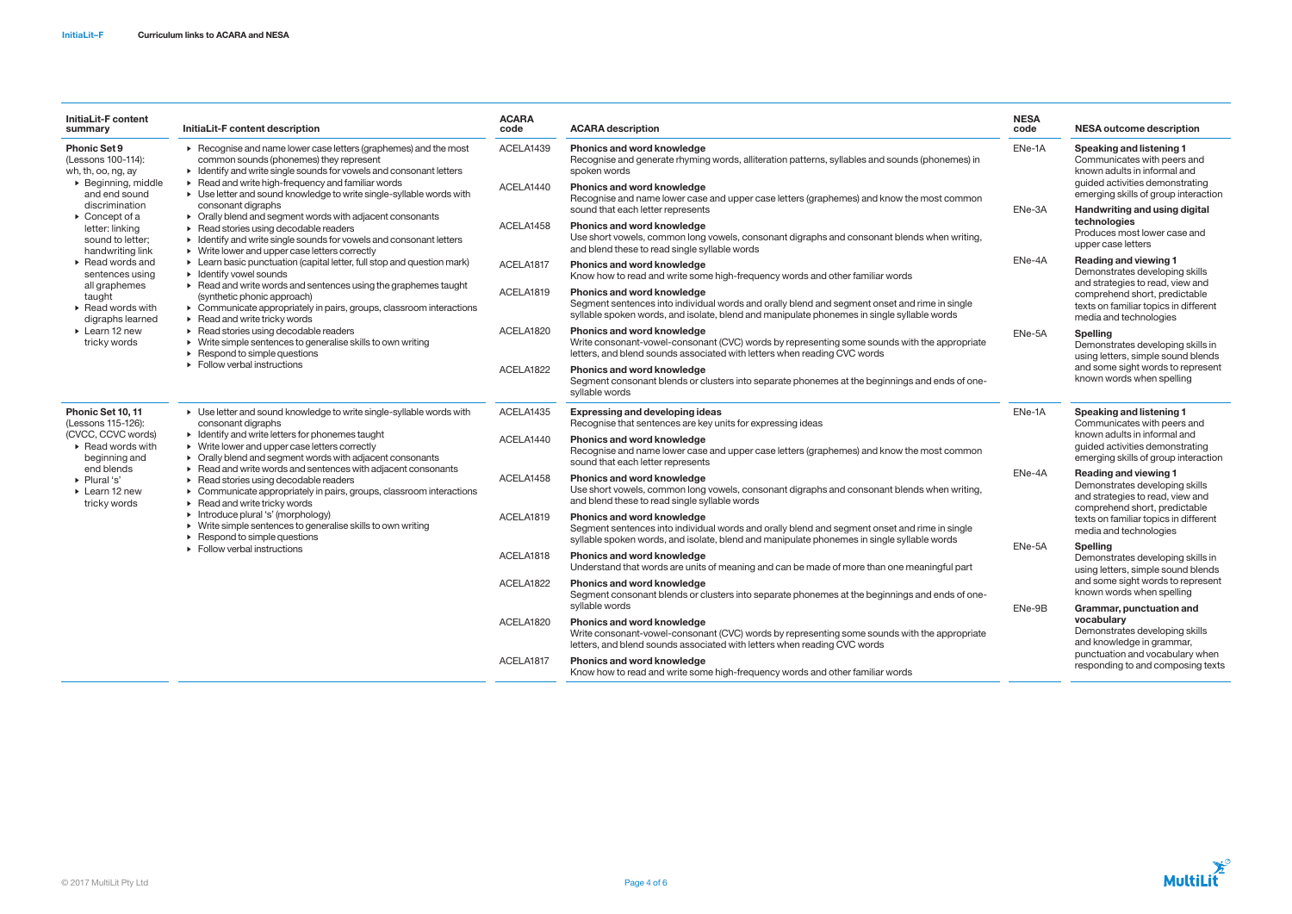| InitiaLit-F content<br>summary                                                                                            | InitiaLit-F content description                                                                                                                                                                                                                                                                                                                                                                                                                                                                                                                                                                                                                                                                                                                                                                                                                                                                                                                                                                                                                                                                                                                                                            | <b>ACARA</b><br>code | <b>ACARA description</b>                                                                                                                                                                                                         | <b>NESA</b><br>code | <b>NESA outcome description</b>                                                                                                                                                                                                                                                                                                                                                                                                                                                 |
|---------------------------------------------------------------------------------------------------------------------------|--------------------------------------------------------------------------------------------------------------------------------------------------------------------------------------------------------------------------------------------------------------------------------------------------------------------------------------------------------------------------------------------------------------------------------------------------------------------------------------------------------------------------------------------------------------------------------------------------------------------------------------------------------------------------------------------------------------------------------------------------------------------------------------------------------------------------------------------------------------------------------------------------------------------------------------------------------------------------------------------------------------------------------------------------------------------------------------------------------------------------------------------------------------------------------------------|----------------------|----------------------------------------------------------------------------------------------------------------------------------------------------------------------------------------------------------------------------------|---------------------|---------------------------------------------------------------------------------------------------------------------------------------------------------------------------------------------------------------------------------------------------------------------------------------------------------------------------------------------------------------------------------------------------------------------------------------------------------------------------------|
| <b>Phonic Set 9</b><br>(Lessons 100-114):<br>wh, th, oo, ng, ay<br>▶ Beginning, middle<br>and end sound<br>discrimination | ▶ Recognise and name lower case letters (graphemes) and the most<br>common sounds (phonemes) they represent<br>• Identify and write single sounds for vowels and consonant letters<br>$\triangleright$ Read and write high-frequency and familiar words<br>▶ Use letter and sound knowledge to write single-syllable words with<br>consonant digraphs<br>• Orally blend and segment words with adjacent consonants<br>$\triangleright$ Read stories using decodable readers<br>• Identify and write single sounds for vowels and consonant letters<br>$\triangleright$ Write lower and upper case letters correctly<br>► Learn basic punctuation (capital letter, full stop and question mark)<br>$\triangleright$ Identify vowel sounds<br>▶ Read and write words and sentences using the graphemes taught<br>(synthetic phonic approach)<br>• Communicate appropriately in pairs, groups, classroom interactions<br>$\triangleright$ Read and write tricky words<br>$\triangleright$ Read stories using decodable readers<br>• Write simple sentences to generalise skills to own writing<br>$\triangleright$ Respond to simple questions<br>$\triangleright$ Follow verbal instructions | ACELA1439            | <b>Phonics and word knowledge</b><br>Recognise and generate rhyming words, alliteration patterns, syllables and sounds (phonemes) in<br>spoken words                                                                             | ENe-1A              | <b>Speaking and listening 1</b><br>Communicates with peers and<br>known adults in informal and<br>guided activities demonstrating<br>emerging skills of group interaction<br><b>Handwriting and using digital</b><br>technologies<br>Produces most lower case and<br>upper case letters                                                                                                                                                                                         |
|                                                                                                                           |                                                                                                                                                                                                                                                                                                                                                                                                                                                                                                                                                                                                                                                                                                                                                                                                                                                                                                                                                                                                                                                                                                                                                                                            | ACELA1440            | <b>Phonics and word knowledge</b><br>Recognise and name lower case and upper case letters (graphemes) and know the most common<br>sound that each letter represents                                                              | ENe-3A              |                                                                                                                                                                                                                                                                                                                                                                                                                                                                                 |
| $\triangleright$ Concept of a<br>letter: linking<br>sound to letter;<br>handwriting link                                  |                                                                                                                                                                                                                                                                                                                                                                                                                                                                                                                                                                                                                                                                                                                                                                                                                                                                                                                                                                                                                                                                                                                                                                                            | ACELA1458            | <b>Phonics and word knowledge</b><br>Use short vowels, common long vowels, consonant digraphs and consonant blends when writing,<br>and blend these to read single syllable words                                                |                     |                                                                                                                                                                                                                                                                                                                                                                                                                                                                                 |
| $\triangleright$ Read words and<br>sentences using                                                                        |                                                                                                                                                                                                                                                                                                                                                                                                                                                                                                                                                                                                                                                                                                                                                                                                                                                                                                                                                                                                                                                                                                                                                                                            | ACELA1817            | <b>Phonics and word knowledge</b><br>Know how to read and write some high-frequency words and other familiar words                                                                                                               | ENe-4A              | <b>Reading and viewing 1</b><br>Demonstrates developing skills<br>and strategies to read, view and                                                                                                                                                                                                                                                                                                                                                                              |
| all graphemes<br>taught<br>$\triangleright$ Read words with<br>digraphs learned                                           |                                                                                                                                                                                                                                                                                                                                                                                                                                                                                                                                                                                                                                                                                                                                                                                                                                                                                                                                                                                                                                                                                                                                                                                            | ACELA1819            | <b>Phonics and word knowledge</b><br>Segment sentences into individual words and orally blend and segment onset and rime in single<br>syllable spoken words, and isolate, blend and manipulate phonemes in single syllable words |                     | comprehend short, predictable<br>texts on familiar topics in different<br>media and technologies                                                                                                                                                                                                                                                                                                                                                                                |
| $\triangleright$ Learn 12 new<br>tricky words                                                                             |                                                                                                                                                                                                                                                                                                                                                                                                                                                                                                                                                                                                                                                                                                                                                                                                                                                                                                                                                                                                                                                                                                                                                                                            | ACELA1820            | <b>Phonics and word knowledge</b><br>Write consonant-vowel-consonant (CVC) words by representing some sounds with the appropriate<br>letters, and blend sounds associated with letters when reading CVC words                    | ENe-5A              | <b>Spelling</b><br>Demonstrates developing skills in<br>using letters, simple sound blends<br>and some sight words to represent<br>known words when spelling                                                                                                                                                                                                                                                                                                                    |
|                                                                                                                           |                                                                                                                                                                                                                                                                                                                                                                                                                                                                                                                                                                                                                                                                                                                                                                                                                                                                                                                                                                                                                                                                                                                                                                                            | ACELA1822            | <b>Phonics and word knowledge</b><br>Segment consonant blends or clusters into separate phonemes at the beginnings and ends of one-<br>syllable words                                                                            |                     |                                                                                                                                                                                                                                                                                                                                                                                                                                                                                 |
| Phonic Set 10, 11<br>(Lessons 115-126):                                                                                   | ▶ Use letter and sound knowledge to write single-syllable words with<br>consonant digraphs<br>$\triangleright$ Identify and write letters for phonemes taught<br>▶ Write lower and upper case letters correctly<br>• Orally blend and segment words with adjacent consonants<br>$\triangleright$ Read and write words and sentences with adjacent consonants<br>▶ Read stories using decodable readers<br>• Communicate appropriately in pairs, groups, classroom interactions<br>$\triangleright$ Read and write tricky words<br>Introduce plural 's' (morphology)<br>• Write simple sentences to generalise skills to own writing<br>$\triangleright$ Respond to simple questions<br>$\triangleright$ Follow verbal instructions                                                                                                                                                                                                                                                                                                                                                                                                                                                         | ACELA1435            | <b>Expressing and developing ideas</b><br>Recognise that sentences are key units for expressing ideas                                                                                                                            | ENe-1A<br>ENe-4A    | <b>Speaking and listening 1</b><br>Communicates with peers and<br>known adults in informal and<br>guided activities demonstrating<br>emerging skills of group interaction                                                                                                                                                                                                                                                                                                       |
| (CVCC, CCVC words)<br>$\triangleright$ Read words with<br>beginning and                                                   |                                                                                                                                                                                                                                                                                                                                                                                                                                                                                                                                                                                                                                                                                                                                                                                                                                                                                                                                                                                                                                                                                                                                                                                            | ACELA1440            | <b>Phonics and word knowledge</b><br>Recognise and name lower case and upper case letters (graphemes) and know the most common<br>sound that each letter represents                                                              |                     |                                                                                                                                                                                                                                                                                                                                                                                                                                                                                 |
| end blends<br>▶ Plural 's'<br>$\triangleright$ Learn 12 new<br>tricky words                                               |                                                                                                                                                                                                                                                                                                                                                                                                                                                                                                                                                                                                                                                                                                                                                                                                                                                                                                                                                                                                                                                                                                                                                                                            | ACELA1458            | <b>Phonics and word knowledge</b><br>Use short vowels, common long vowels, consonant digraphs and consonant blends when writing,<br>and blend these to read single syllable words                                                |                     | <b>Reading and viewing 1</b><br>Demonstrates developing skills<br>and strategies to read, view and<br>comprehend short, predictable<br>texts on familiar topics in different<br>media and technologies<br><b>Spelling</b><br>Demonstrates developing skills in<br>using letters, simple sound blends<br>and some sight words to represent<br>known words when spelling<br>Grammar, punctuation and<br>vocabulary<br>Demonstrates developing skills<br>and knowledge in grammar, |
|                                                                                                                           |                                                                                                                                                                                                                                                                                                                                                                                                                                                                                                                                                                                                                                                                                                                                                                                                                                                                                                                                                                                                                                                                                                                                                                                            | ACELA1819            | <b>Phonics and word knowledge</b><br>Segment sentences into individual words and orally blend and segment onset and rime in single<br>syllable spoken words, and isolate, blend and manipulate phonemes in single syllable words | ENe-5A<br>ENe-9B    |                                                                                                                                                                                                                                                                                                                                                                                                                                                                                 |
|                                                                                                                           |                                                                                                                                                                                                                                                                                                                                                                                                                                                                                                                                                                                                                                                                                                                                                                                                                                                                                                                                                                                                                                                                                                                                                                                            | ACELA1818            | <b>Phonics and word knowledge</b><br>Understand that words are units of meaning and can be made of more than one meaningful part                                                                                                 |                     |                                                                                                                                                                                                                                                                                                                                                                                                                                                                                 |
|                                                                                                                           |                                                                                                                                                                                                                                                                                                                                                                                                                                                                                                                                                                                                                                                                                                                                                                                                                                                                                                                                                                                                                                                                                                                                                                                            | ACELA1822            | <b>Phonics and word knowledge</b><br>Segment consonant blends or clusters into separate phonemes at the beginnings and ends of one-<br>syllable words                                                                            |                     |                                                                                                                                                                                                                                                                                                                                                                                                                                                                                 |
|                                                                                                                           |                                                                                                                                                                                                                                                                                                                                                                                                                                                                                                                                                                                                                                                                                                                                                                                                                                                                                                                                                                                                                                                                                                                                                                                            | ACELA1820            | <b>Phonics and word knowledge</b><br>Write consonant-vowel-consonant (CVC) words by representing some sounds with the appropriate<br>letters, and blend sounds associated with letters when reading CVC words                    |                     |                                                                                                                                                                                                                                                                                                                                                                                                                                                                                 |
|                                                                                                                           |                                                                                                                                                                                                                                                                                                                                                                                                                                                                                                                                                                                                                                                                                                                                                                                                                                                                                                                                                                                                                                                                                                                                                                                            | ACELA1817            | <b>Phonics and word knowledge</b><br>Know how to read and write some high-frequency words and other familiar words                                                                                                               |                     | punctuation and vocabulary when<br>responding to and composing texts                                                                                                                                                                                                                                                                                                                                                                                                            |

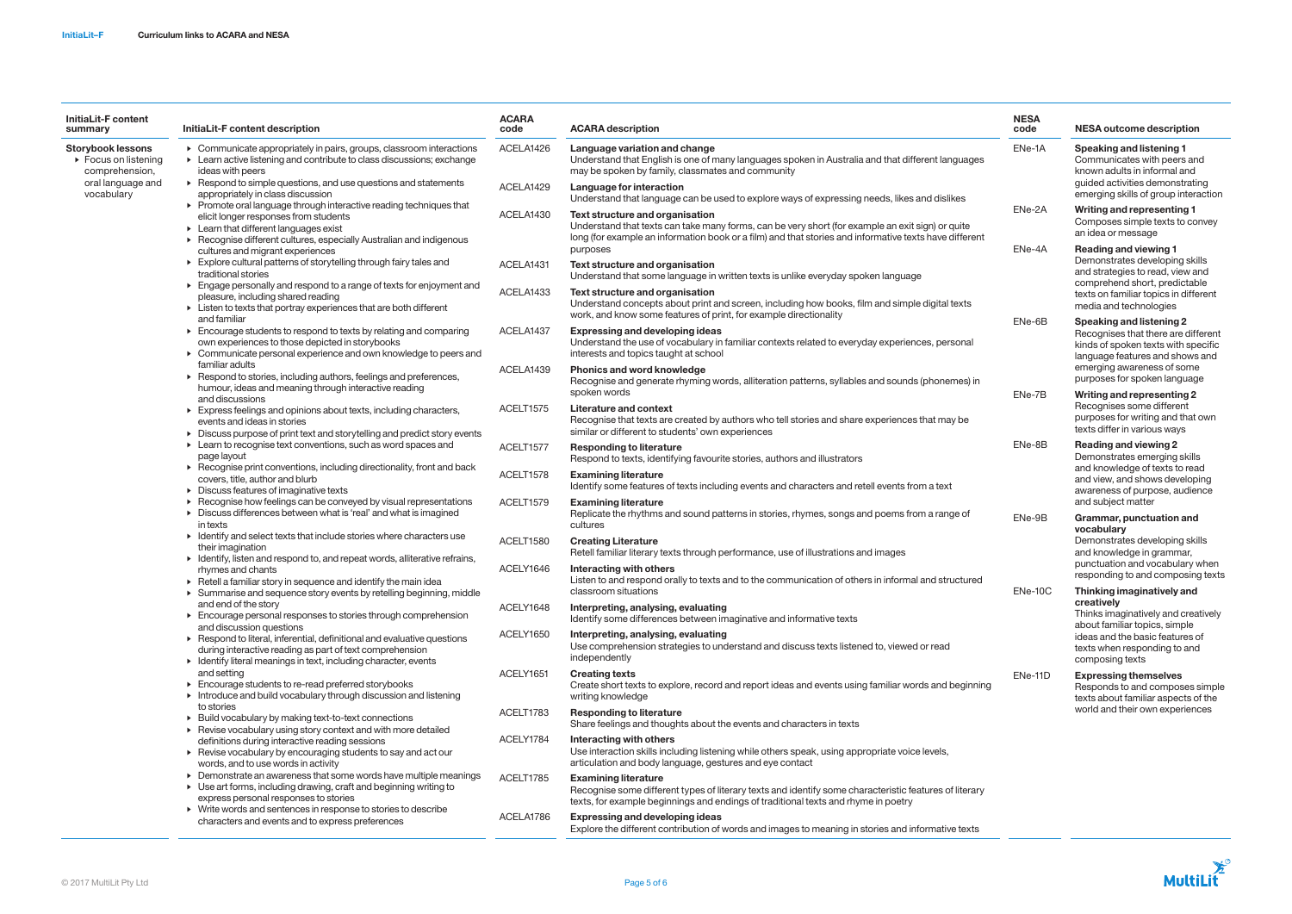| <b>InitiaLit-F content</b><br>summary                                                                  | InitiaLit-F content description                                                                                                                                                                                                                      | <b>ACARA</b><br>code   | <b>ACARA description</b>                                                                                                                                                                                                                      | <b>NESA</b><br>code                    | <b>NESA outcome description</b>                                                                                                                                                                                                                                                                                                                                                                                                                                                                                                                   |
|--------------------------------------------------------------------------------------------------------|------------------------------------------------------------------------------------------------------------------------------------------------------------------------------------------------------------------------------------------------------|------------------------|-----------------------------------------------------------------------------------------------------------------------------------------------------------------------------------------------------------------------------------------------|----------------------------------------|---------------------------------------------------------------------------------------------------------------------------------------------------------------------------------------------------------------------------------------------------------------------------------------------------------------------------------------------------------------------------------------------------------------------------------------------------------------------------------------------------------------------------------------------------|
| <b>Storybook lessons</b><br>$\triangleright$ Focus on listening<br>comprehension,<br>oral language and | • Communicate appropriately in pairs, groups, classroom interactions<br>• Learn active listening and contribute to class discussions; exchange<br>ideas with peers<br>$\triangleright$ Respond to simple questions, and use questions and statements | ACELA1426              | Language variation and change<br>Understand that English is one of many languages spoken in Australia and that different languages<br>may be spoken by family, classmates and community                                                       | ENe-1A                                 | <b>Speaking and listening 1</b><br>Communicates with peers and<br>known adults in informal and<br>guided activities demonstrating                                                                                                                                                                                                                                                                                                                                                                                                                 |
| vocabulary                                                                                             | appropriately in class discussion                                                                                                                                                                                                                    | ACELA1429              | Language for interaction<br>Understand that language can be used to explore ways of expressing needs, likes and dislikes                                                                                                                      |                                        | emerging skills of group interaction                                                                                                                                                                                                                                                                                                                                                                                                                                                                                                              |
|                                                                                                        | ▶ Promote oral language through interactive reading techniques that<br>elicit longer responses from students<br>$\triangleright$ Learn that different languages exist<br>▶ Recognise different cultures, especially Australian and indigenous        | ACELA1430              | Text structure and organisation<br>Understand that texts can take many forms, can be very short (for example an exit sign) or quite<br>long (for example an information book or a film) and that stories and informative texts have different | ENe-2A<br>ENe-4A<br>ENe-6B<br>ENe-7B   | Writing and representing 1<br>Composes simple texts to convey<br>an idea or message                                                                                                                                                                                                                                                                                                                                                                                                                                                               |
|                                                                                                        | cultures and migrant experiences                                                                                                                                                                                                                     |                        | purposes                                                                                                                                                                                                                                      |                                        | <b>Reading and viewing 1</b><br>Demonstrates developing skills<br>and strategies to read, view and<br>comprehend short, predictable<br>texts on familiar topics in different<br>media and technologies<br>Speaking and listening 2<br>Recognises that there are different<br>kinds of spoken texts with specific<br>language features and shows and<br>emerging awareness of some<br>purposes for spoken language<br>Writing and representing 2<br>Recognises some different<br>purposes for writing and that own<br>texts differ in various ways |
|                                                                                                        | Explore cultural patterns of storytelling through fairy tales and<br>traditional stories<br>Engage personally and respond to a range of texts for enjoyment and                                                                                      | ACELA1431<br>ACELA1433 | Text structure and organisation<br>Understand that some language in written texts is unlike everyday spoken language<br>Text structure and organisation                                                                                       |                                        |                                                                                                                                                                                                                                                                                                                                                                                                                                                                                                                                                   |
|                                                                                                        | pleasure, including shared reading<br>• Listen to texts that portray experiences that are both different<br>and familiar                                                                                                                             |                        | Understand concepts about print and screen, including how books, film and simple digital texts<br>work, and know some features of print, for example directionality                                                                           |                                        |                                                                                                                                                                                                                                                                                                                                                                                                                                                                                                                                                   |
|                                                                                                        | Encourage students to respond to texts by relating and comparing<br>own experiences to those depicted in storybooks<br>• Communicate personal experience and own knowledge to peers and                                                              | ACELA1437              | <b>Expressing and developing ideas</b><br>Understand the use of vocabulary in familiar contexts related to everyday experiences, personal<br>interests and topics taught at school                                                            |                                        |                                                                                                                                                                                                                                                                                                                                                                                                                                                                                                                                                   |
|                                                                                                        | familiar adults<br>▶ Respond to stories, including authors, feelings and preferences,<br>humour, ideas and meaning through interactive reading                                                                                                       | ACELA1439              | <b>Phonics and word knowledge</b><br>Recognise and generate rhyming words, alliteration patterns, syllables and sounds (phonemes) in                                                                                                          |                                        |                                                                                                                                                                                                                                                                                                                                                                                                                                                                                                                                                   |
|                                                                                                        | and discussions<br>Express feelings and opinions about texts, including characters,<br>events and ideas in stories                                                                                                                                   | ACELT1575              | spoken words<br>Literature and context<br>Recognise that texts are created by authors who tell stories and share experiences that may be<br>similar or different to students' own experiences                                                 |                                        |                                                                                                                                                                                                                                                                                                                                                                                                                                                                                                                                                   |
|                                                                                                        | Discuss purpose of print text and storytelling and predict story events<br>• Learn to recognise text conventions, such as word spaces and<br>page layout                                                                                             | ACELT1577              | <b>Responding to literature</b><br>Respond to texts, identifying favourite stories, authors and illustrators                                                                                                                                  | ENe-8B<br>ENe-9B<br>ENe-10C<br>ENe-11D | <b>Reading and viewing 2</b><br>Demonstrates emerging skills<br>and knowledge of texts to read<br>and view, and shows developing<br>awareness of purpose, audience                                                                                                                                                                                                                                                                                                                                                                                |
|                                                                                                        | ▶ Recognise print conventions, including directionality, front and back<br>covers, title, author and blurb<br>$\triangleright$ Discuss features of imaginative texts                                                                                 | ACELT1578              | <b>Examining literature</b><br>Identify some features of texts including events and characters and retell events from a text                                                                                                                  |                                        |                                                                                                                                                                                                                                                                                                                                                                                                                                                                                                                                                   |
|                                                                                                        | Recognise how feelings can be conveyed by visual representations<br>Discuss differences between what is 'real' and what is imagined<br>in texts                                                                                                      | ACELT1579              | <b>Examining literature</b><br>Replicate the rhythms and sound patterns in stories, rhymes, songs and poems from a range of<br>cultures                                                                                                       |                                        | and subject matter<br>Grammar, punctuation and                                                                                                                                                                                                                                                                                                                                                                                                                                                                                                    |
|                                                                                                        | • Identify and select texts that include stories where characters use<br>their imagination<br>• Identify, listen and respond to, and repeat words, alliterative refrains,                                                                            | ACELT1580              | <b>Creating Literature</b><br>Retell familiar literary texts through performance, use of illustrations and images                                                                                                                             |                                        | vocabulary<br>Demonstrates developing skills<br>and knowledge in grammar,<br>punctuation and vocabulary when<br>responding to and composing texts<br>Thinking imaginatively and<br>creatively<br>Thinks imaginatively and creatively<br>about familiar topics, simple<br>ideas and the basic features of<br>texts when responding to and<br>composing texts                                                                                                                                                                                       |
|                                                                                                        | rhymes and chants<br>$\triangleright$ Retell a familiar story in sequence and identify the main idea                                                                                                                                                 | ACELY1646              | Interacting with others<br>Listen to and respond orally to texts and to the communication of others in informal and structured<br>classroom situations                                                                                        |                                        |                                                                                                                                                                                                                                                                                                                                                                                                                                                                                                                                                   |
|                                                                                                        | > Summarise and sequence story events by retelling beginning, middle<br>and end of the story<br>$\triangleright$ Encourage personal responses to stories through comprehension                                                                       | ACELY1648              | Interpreting, analysing, evaluating<br>Identify some differences between imaginative and informative texts                                                                                                                                    |                                        |                                                                                                                                                                                                                                                                                                                                                                                                                                                                                                                                                   |
|                                                                                                        | and discussion questions<br>$\triangleright$ Respond to literal, inferential, definitional and evaluative questions<br>during interactive reading as part of text comprehension                                                                      | ACELY1650              | Interpreting, analysing, evaluating<br>Use comprehension strategies to understand and discuss texts listened to, viewed or read<br>independently                                                                                              |                                        |                                                                                                                                                                                                                                                                                                                                                                                                                                                                                                                                                   |
|                                                                                                        | • Identify literal meanings in text, including character, events<br>and setting<br>Encourage students to re-read preferred storybooks<br>Introduce and build vocabulary through discussion and listening                                             | ACELY1651              | <b>Creating texts</b><br>Create short texts to explore, record and report ideas and events using familiar words and beginning<br>writing knowledge                                                                                            |                                        | <b>Expressing themselves</b><br>Responds to and composes simple<br>texts about familiar aspects of the                                                                                                                                                                                                                                                                                                                                                                                                                                            |
|                                                                                                        | to stories<br>▶ Build vocabulary by making text-to-text connections                                                                                                                                                                                  | ACELT1783              | <b>Responding to literature</b><br>Share feelings and thoughts about the events and characters in texts                                                                                                                                       |                                        | world and their own experiences                                                                                                                                                                                                                                                                                                                                                                                                                                                                                                                   |
|                                                                                                        | ▶ Revise vocabulary using story context and with more detailed<br>definitions during interactive reading sessions<br>▶ Revise vocabulary by encouraging students to say and act our                                                                  | ACELY1784              | Interacting with others<br>Use interaction skills including listening while others speak, using appropriate voice levels,<br>articulation and body language, gestures and eye contact                                                         |                                        |                                                                                                                                                                                                                                                                                                                                                                                                                                                                                                                                                   |
|                                                                                                        | words, and to use words in activity<br>• Demonstrate an awareness that some words have multiple meanings<br>▶ Use art forms, including drawing, craft and beginning writing to<br>express personal responses to stories                              | ACELT1785              | <b>Examining literature</b><br>Recognise some different types of literary texts and identify some characteristic features of literary<br>texts, for example beginnings and endings of traditional texts and rhyme in poetry                   |                                        |                                                                                                                                                                                                                                                                                                                                                                                                                                                                                                                                                   |
|                                                                                                        | • Write words and sentences in response to stories to describe<br>characters and events and to express preferences                                                                                                                                   | ACELA1786              | <b>Expressing and developing ideas</b><br>Explore the different contribution of words and images to meaning in stories and informative texts                                                                                                  |                                        |                                                                                                                                                                                                                                                                                                                                                                                                                                                                                                                                                   |